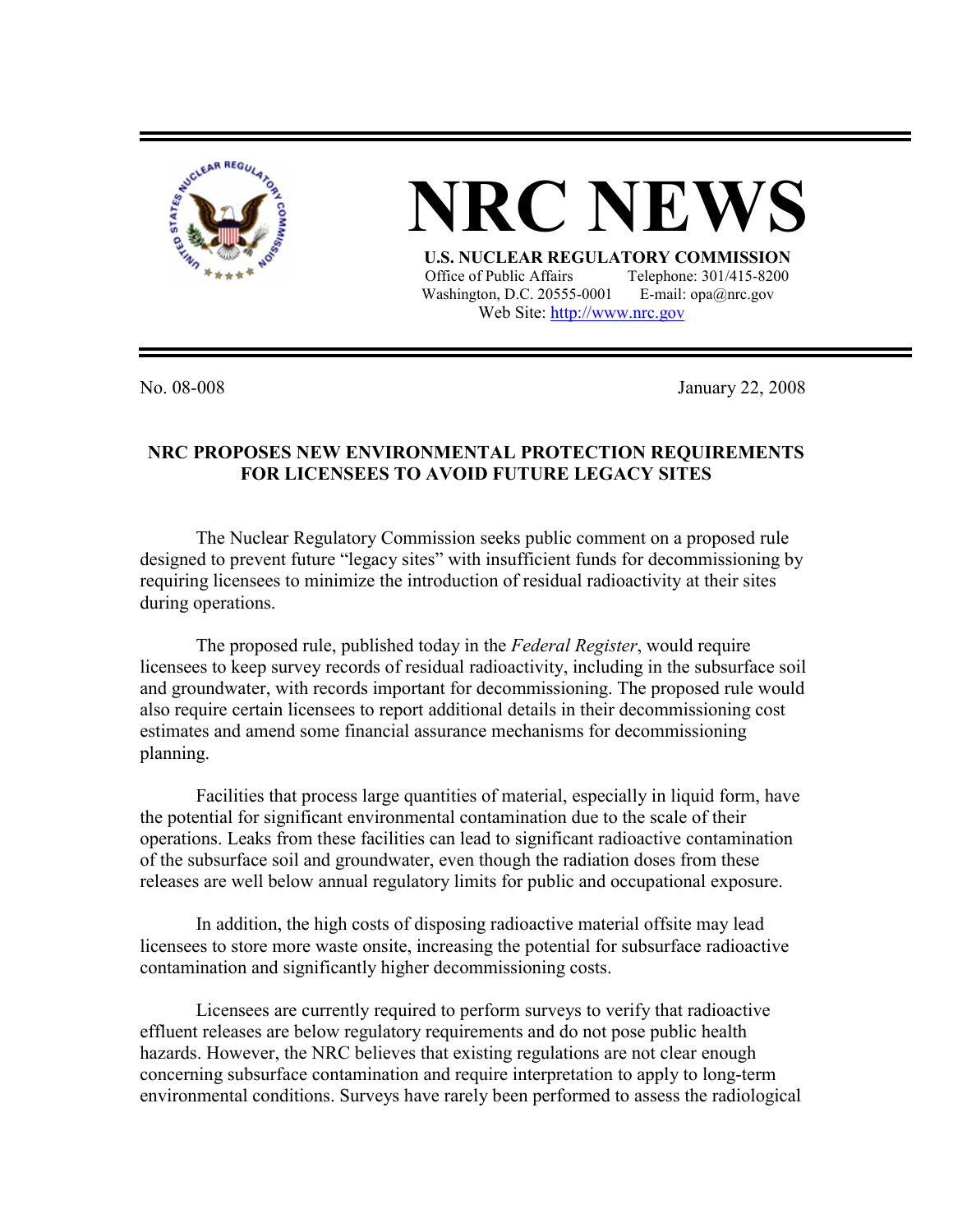

## **NRC NEV**

 **U.S. NUCLEAR REGULATORY COMMISSION** Office of Public Affairs Telephone: 301/415-8200 Washington, D.C. 20555-0001 E-mail:  $opa@nrc.gov$ Web Site: http://www.nrc.gov

No. 08-008 January 22, 2008

## **NRC PROPOSES NEW ENVIRONMENTAL PROTECTION REQUIREMENTS FOR LICENSEES TO AVOID FUTURE LEGACY SITES**

 The Nuclear Regulatory Commission seeks public comment on a proposed rule designed to prevent future "legacy sites" with insufficient funds for decommissioning by requiring licensees to minimize the introduction of residual radioactivity at their sites during operations.

 The proposed rule, published today in the *Federal Register*, would require licensees to keep survey records of residual radioactivity, including in the subsurface soil and groundwater, with records important for decommissioning. The proposed rule would also require certain licensees to report additional details in their decommissioning cost estimates and amend some financial assurance mechanisms for decommissioning planning.

 Facilities that process large quantities of material, especially in liquid form, have the potential for significant environmental contamination due to the scale of their operations. Leaks from these facilities can lead to significant radioactive contamination of the subsurface soil and groundwater, even though the radiation doses from these releases are well below annual regulatory limits for public and occupational exposure.

 In addition, the high costs of disposing radioactive material offsite may lead licensees to store more waste onsite, increasing the potential for subsurface radioactive contamination and significantly higher decommissioning costs.

 Licensees are currently required to perform surveys to verify that radioactive effluent releases are below regulatory requirements and do not pose public health hazards. However, the NRC believes that existing regulations are not clear enough concerning subsurface contamination and require interpretation to apply to long-term environmental conditions. Surveys have rarely been performed to assess the radiological